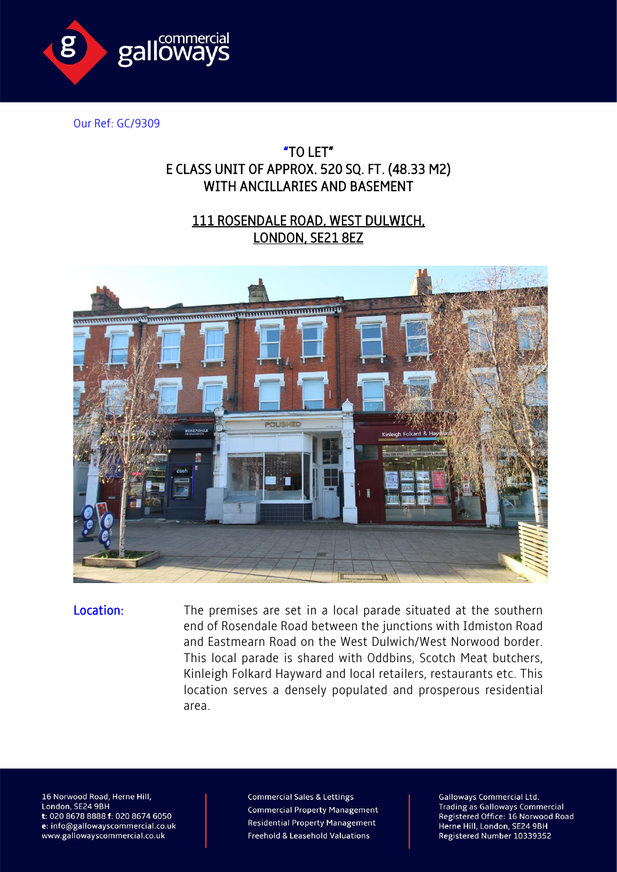

Our Ref: GC/9309

## "TO LET" E CLASS UNIT OF APPROX. 520 SQ. FT. (48.33 M2) WITH ANCILLARIES AND BASEMENT

## 111 ROSENDALE ROAD, WEST DULWICH, LONDON, SE21 8EZ



Location: The premises are set in a local parade situated at the southern end of Rosendale Road between the junctions with Idmiston Road and Eastmearn Road on the West Dulwich/West Norwood border. This local parade is shared with Oddbins, Scotch Meat butchers, Kinleigh Folkard Hayward and local retailers, restaurants etc. This location serves a densely populated and prosperous residential area.

16 Norwood Road, Herne Hill, London, SE24 9BH t: 020 8678 8888 f: 020 8674 6050 e: info@gallowayscommercial.co.uk www.gallowayscommercial.co.uk

**Commercial Sales & Lettings Commercial Property Management Residential Property Management** Freehold & Leasehold Valuations

**Galloways Commercial Ltd. Trading as Galloways Commercial** Registered Office: 16 Norwood Road Herne Hill, London, SE24 9BH Registered Number 10339352